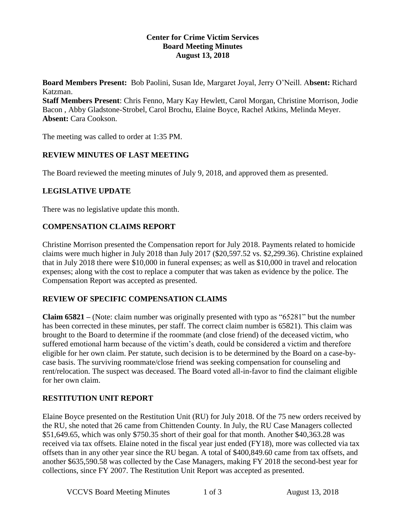#### **Center for Crime Victim Services Board Meeting Minutes August 13, 2018**

**Board Members Present:** Bob Paolini, Susan Ide, Margaret Joyal, Jerry O'Neill. A**bsent:** Richard Katzman.

**Staff Members Present**: Chris Fenno, Mary Kay Hewlett, Carol Morgan, Christine Morrison, Jodie Bacon , Abby Gladstone-Strobel, Carol Brochu, Elaine Boyce, Rachel Atkins, Melinda Meyer. **Absent:** Cara Cookson.

The meeting was called to order at 1:35 PM.

## **REVIEW MINUTES OF LAST MEETING**

The Board reviewed the meeting minutes of July 9, 2018, and approved them as presented.

## **LEGISLATIVE UPDATE**

There was no legislative update this month.

## **COMPENSATION CLAIMS REPORT**

Christine Morrison presented the Compensation report for July 2018. Payments related to homicide claims were much higher in July 2018 than July 2017 (\$20,597.52 vs. \$2,299.36). Christine explained that in July 2018 there were \$10,000 in funeral expenses; as well as \$10,000 in travel and relocation expenses; along with the cost to replace a computer that was taken as evidence by the police. The Compensation Report was accepted as presented.

## **REVIEW OF SPECIFIC COMPENSATION CLAIMS**

**Claim 65821 –** (Note: claim number was originally presented with typo as "65281" but the number has been corrected in these minutes, per staff. The correct claim number is 65821). This claim was brought to the Board to determine if the roommate (and close friend) of the deceased victim, who suffered emotional harm because of the victim's death, could be considered a victim and therefore eligible for her own claim. Per statute, such decision is to be determined by the Board on a case-bycase basis. The surviving roommate/close friend was seeking compensation for counseling and rent/relocation. The suspect was deceased. The Board voted all-in-favor to find the claimant eligible for her own claim.

## **RESTITUTION UNIT REPORT**

Elaine Boyce presented on the Restitution Unit (RU) for July 2018. Of the 75 new orders received by the RU, she noted that 26 came from Chittenden County. In July, the RU Case Managers collected \$51,649.65, which was only \$750.35 short of their goal for that month. Another \$40,363.28 was received via tax offsets. Elaine noted in the fiscal year just ended (FY18), more was collected via tax offsets than in any other year since the RU began. A total of \$400,849.60 came from tax offsets, and another \$635,590.58 was collected by the Case Managers, making FY 2018 the second-best year for collections, since FY 2007. The Restitution Unit Report was accepted as presented.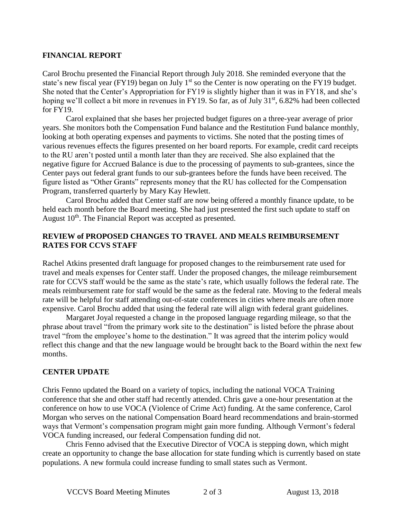#### **FINANCIAL REPORT**

Carol Brochu presented the Financial Report through July 2018. She reminded everyone that the state's new fiscal year (FY19) began on July  $1<sup>st</sup>$  so the Center is now operating on the FY19 budget. She noted that the Center's Appropriation for FY19 is slightly higher than it was in FY18, and she's hoping we'll collect a bit more in revenues in FY19. So far, as of July 31<sup>st</sup>, 6.82% had been collected for FY19.

Carol explained that she bases her projected budget figures on a three-year average of prior years. She monitors both the Compensation Fund balance and the Restitution Fund balance monthly, looking at both operating expenses and payments to victims. She noted that the posting times of various revenues effects the figures presented on her board reports. For example, credit card receipts to the RU aren't posted until a month later than they are received. She also explained that the negative figure for Accrued Balance is due to the processing of payments to sub-grantees, since the Center pays out federal grant funds to our sub-grantees before the funds have been received. The figure listed as "Other Grants" represents money that the RU has collected for the Compensation Program, transferred quarterly by Mary Kay Hewlett.

Carol Brochu added that Center staff are now being offered a monthly finance update, to be held each month before the Board meeting. She had just presented the first such update to staff on August 10<sup>th</sup>. The Financial Report was accepted as presented.

#### **REVIEW of PROPOSED CHANGES TO TRAVEL AND MEALS REIMBURSEMENT RATES FOR CCVS STAFF**

Rachel Atkins presented draft language for proposed changes to the reimbursement rate used for travel and meals expenses for Center staff. Under the proposed changes, the mileage reimbursement rate for CCVS staff would be the same as the state's rate, which usually follows the federal rate. The meals reimbursement rate for staff would be the same as the federal rate. Moving to the federal meals rate will be helpful for staff attending out-of-state conferences in cities where meals are often more expensive. Carol Brochu added that using the federal rate will align with federal grant guidelines.

Margaret Joyal requested a change in the proposed language regarding mileage, so that the phrase about travel "from the primary work site to the destination" is listed before the phrase about travel "from the employee's home to the destination." It was agreed that the interim policy would reflect this change and that the new language would be brought back to the Board within the next few months.

#### **CENTER UPDATE**

Chris Fenno updated the Board on a variety of topics, including the national VOCA Training conference that she and other staff had recently attended. Chris gave a one-hour presentation at the conference on how to use VOCA (Violence of Crime Act) funding. At the same conference, Carol Morgan who serves on the national Compensation Board heard recommendations and brain-stormed ways that Vermont's compensation program might gain more funding. Although Vermont's federal VOCA funding increased, our federal Compensation funding did not.

Chris Fenno advised that the Executive Director of VOCA is stepping down, which might create an opportunity to change the base allocation for state funding which is currently based on state populations. A new formula could increase funding to small states such as Vermont.